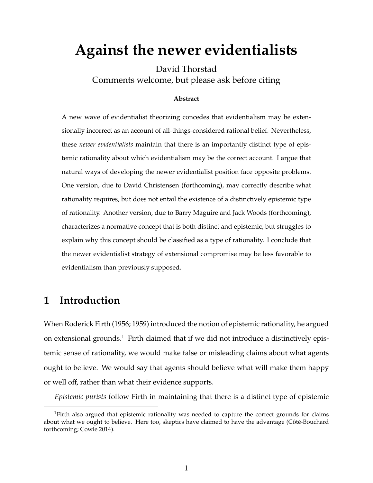# **Against the newer evidentialists**

David Thorstad Comments welcome, but please ask before citing

#### **Abstract**

A new wave of evidentialist theorizing concedes that evidentialism may be extensionally incorrect as an account of all-things-considered rational belief. Nevertheless, these *newer evidentialists* maintain that there is an importantly distinct type of epistemic rationality about which evidentialism may be the correct account. I argue that natural ways of developing the newer evidentialist position face opposite problems. One version, due to David Christensen (forthcoming), may correctly describe what rationality requires, but does not entail the existence of a distinctively epistemic type of rationality. Another version, due to Barry Maguire and Jack Woods (forthcoming), characterizes a normative concept that is both distinct and epistemic, but struggles to explain why this concept should be classified as a type of rationality. I conclude that the newer evidentialist strategy of extensional compromise may be less favorable to evidentialism than previously supposed.

# **1 Introduction**

When Roderick Firth (1956; 1959) introduced the notion of epistemic rationality, he argued on extensional grounds.<sup>1</sup> Firth claimed that if we did not introduce a distinctively epistemic sense of rationality, we would make false or misleading claims about what agents ought to believe. We would say that agents should believe what will make them happy or well off, rather than what their evidence supports.

*Epistemic purists* follow Firth in maintaining that there is a distinct type of epistemic

<sup>&</sup>lt;sup>1</sup>Firth also argued that epistemic rationality was needed to capture the correct grounds for claims about what we ought to believe. Here too, skeptics have claimed to have the advantage (Côté-Bouchard forthcoming; Cowie 2014).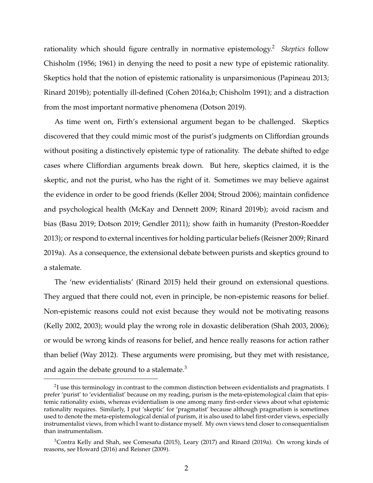rationality which should figure centrally in normative epistemology.<sup>2</sup> *Skeptics* follow Chisholm (1956; 1961) in denying the need to posit a new type of epistemic rationality. Skeptics hold that the notion of epistemic rationality is unparsimonious (Papineau 2013; Rinard 2019b); potentially ill-defined (Cohen 2016a,b; Chisholm 1991); and a distraction from the most important normative phenomena (Dotson 2019).

As time went on, Firth's extensional argument began to be challenged. Skeptics discovered that they could mimic most of the purist's judgments on Cliffordian grounds without positing a distinctively epistemic type of rationality. The debate shifted to edge cases where Cliffordian arguments break down. But here, skeptics claimed, it is the skeptic, and not the purist, who has the right of it. Sometimes we may believe against the evidence in order to be good friends (Keller 2004; Stroud 2006); maintain confidence and psychological health (McKay and Dennett 2009; Rinard 2019b); avoid racism and bias (Basu 2019; Dotson 2019; Gendler 2011); show faith in humanity (Preston-Roedder 2013); or respond to external incentives for holding particular beliefs (Reisner 2009; Rinard 2019a). As a consequence, the extensional debate between purists and skeptics ground to a stalemate.

The 'new evidentialists' (Rinard 2015) held their ground on extensional questions. They argued that there could not, even in principle, be non-epistemic reasons for belief. Non-epistemic reasons could not exist because they would not be motivating reasons (Kelly 2002, 2003); would play the wrong role in doxastic deliberation (Shah 2003, 2006); or would be wrong kinds of reasons for belief, and hence really reasons for action rather than belief (Way 2012). These arguments were promising, but they met with resistance, and again the debate ground to a stalemate.<sup>3</sup>

 $^2$ I use this terminology in contrast to the common distinction between evidentialists and pragmatists. I prefer 'purist' to 'evidentialist' because on my reading, purism is the meta-epistemological claim that epistemic rationality exists, whereas evidentialism is one among many first-order views about what epistemic rationality requires. Similarly, I put 'skeptic' for 'pragmatist' because although pragmatism is sometimes used to denote the meta-epistemological denial of purism, it is also used to label first-order views, especially instrumentalist views, from which I want to distance myself. My own views tend closer to consequentialism than instrumentalism.

 $3$ Contra Kelly and Shah, see Comesaña (2015), Leary (2017) and Rinard (2019a). On wrong kinds of reasons, see Howard (2016) and Reisner (2009).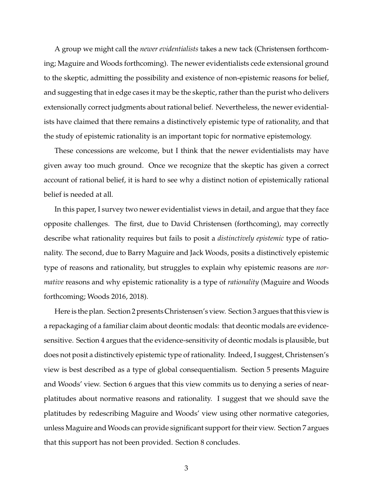A group we might call the *newer evidentialists* takes a new tack (Christensen forthcoming; Maguire and Woods forthcoming). The newer evidentialists cede extensional ground to the skeptic, admitting the possibility and existence of non-epistemic reasons for belief, and suggesting that in edge cases it may be the skeptic, rather than the purist who delivers extensionally correct judgments about rational belief. Nevertheless, the newer evidentialists have claimed that there remains a distinctively epistemic type of rationality, and that the study of epistemic rationality is an important topic for normative epistemology.

These concessions are welcome, but I think that the newer evidentialists may have given away too much ground. Once we recognize that the skeptic has given a correct account of rational belief, it is hard to see why a distinct notion of epistemically rational belief is needed at all.

In this paper, I survey two newer evidentialist views in detail, and argue that they face opposite challenges. The first, due to David Christensen (forthcoming), may correctly describe what rationality requires but fails to posit a *distinctively epistemic* type of rationality. The second, due to Barry Maguire and Jack Woods, posits a distinctively epistemic type of reasons and rationality, but struggles to explain why epistemic reasons are *normative* reasons and why epistemic rationality is a type of *rationality* (Maguire and Woods forthcoming; Woods 2016, 2018).

Here is the plan. Section 2 presents Christensen's view. Section 3 argues that this view is a repackaging of a familiar claim about deontic modals: that deontic modals are evidencesensitive. Section 4 argues that the evidence-sensitivity of deontic modals is plausible, but does not posit a distinctively epistemic type of rationality. Indeed, I suggest, Christensen's view is best described as a type of global consequentialism. Section 5 presents Maguire and Woods' view. Section 6 argues that this view commits us to denying a series of nearplatitudes about normative reasons and rationality. I suggest that we should save the platitudes by redescribing Maguire and Woods' view using other normative categories, unless Maguire and Woods can provide significant support for their view. Section 7 argues that this support has not been provided. Section 8 concludes.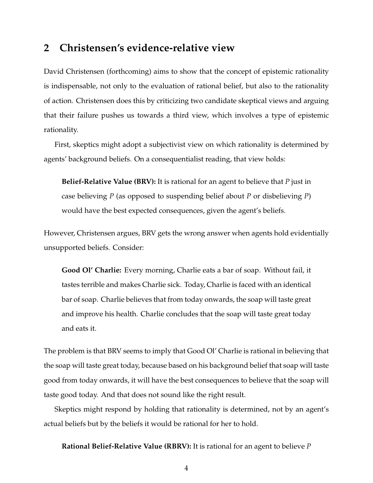### **2 Christensen's evidence-relative view**

David Christensen (forthcoming) aims to show that the concept of epistemic rationality is indispensable, not only to the evaluation of rational belief, but also to the rationality of action. Christensen does this by criticizing two candidate skeptical views and arguing that their failure pushes us towards a third view, which involves a type of epistemic rationality.

First, skeptics might adopt a subjectivist view on which rationality is determined by agents' background beliefs. On a consequentialist reading, that view holds:

**Belief-Relative Value (BRV):** It is rational for an agent to believe that *P* just in case believing *P* (as opposed to suspending belief about *P* or disbelieving *P*) would have the best expected consequences, given the agent's beliefs.

However, Christensen argues, BRV gets the wrong answer when agents hold evidentially unsupported beliefs. Consider:

**Good Ol' Charlie:** Every morning, Charlie eats a bar of soap. Without fail, it tastes terrible and makes Charlie sick. Today, Charlie is faced with an identical bar of soap. Charlie believes that from today onwards, the soap will taste great and improve his health. Charlie concludes that the soap will taste great today and eats it.

The problem is that BRV seems to imply that Good Ol' Charlie is rational in believing that the soap will taste great today, because based on his background belief that soap will taste good from today onwards, it will have the best consequences to believe that the soap will taste good today. And that does not sound like the right result.

Skeptics might respond by holding that rationality is determined, not by an agent's actual beliefs but by the beliefs it would be rational for her to hold.

**Rational Belief-Relative Value (RBRV):** It is rational for an agent to believe *P*

4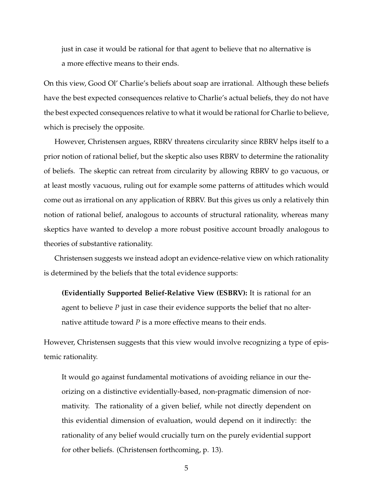just in case it would be rational for that agent to believe that no alternative is a more effective means to their ends.

On this view, Good Ol' Charlie's beliefs about soap are irrational. Although these beliefs have the best expected consequences relative to Charlie's actual beliefs, they do not have the best expected consequences relative to what it would be rational for Charlie to believe, which is precisely the opposite.

However, Christensen argues, RBRV threatens circularity since RBRV helps itself to a prior notion of rational belief, but the skeptic also uses RBRV to determine the rationality of beliefs. The skeptic can retreat from circularity by allowing RBRV to go vacuous, or at least mostly vacuous, ruling out for example some patterns of attitudes which would come out as irrational on any application of RBRV. But this gives us only a relatively thin notion of rational belief, analogous to accounts of structural rationality, whereas many skeptics have wanted to develop a more robust positive account broadly analogous to theories of substantive rationality.

Christensen suggests we instead adopt an evidence-relative view on which rationality is determined by the beliefs that the total evidence supports:

**(Evidentially Supported Belief-Relative View (ESBRV):** It is rational for an agent to believe *P* just in case their evidence supports the belief that no alternative attitude toward *P* is a more effective means to their ends.

However, Christensen suggests that this view would involve recognizing a type of epistemic rationality.

It would go against fundamental motivations of avoiding reliance in our theorizing on a distinctive evidentially-based, non-pragmatic dimension of normativity. The rationality of a given belief, while not directly dependent on this evidential dimension of evaluation, would depend on it indirectly: the rationality of any belief would crucially turn on the purely evidential support for other beliefs. (Christensen forthcoming, p. 13).

5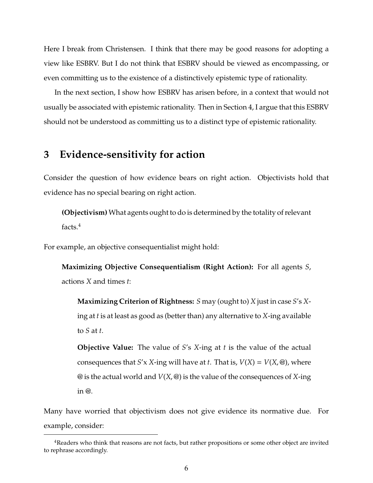Here I break from Christensen. I think that there may be good reasons for adopting a view like ESBRV. But I do not think that ESBRV should be viewed as encompassing, or even committing us to the existence of a distinctively epistemic type of rationality.

In the next section, I show how ESBRV has arisen before, in a context that would not usually be associated with epistemic rationality. Then in Section 4, I argue that this ESBRV should not be understood as committing us to a distinct type of epistemic rationality.

#### **3 Evidence-sensitivity for action**

Consider the question of how evidence bears on right action. Objectivists hold that evidence has no special bearing on right action.

**(Objectivism)** What agents ought to do is determined by the totality of relevant facts.<sup>4</sup>

For example, an objective consequentialist might hold:

**Maximizing Objective Consequentialism (Right Action):** For all agents *S*, actions *X* and times *t*:

**Maximizing Criterion of Rightness:** *S* may (ought to) *X* just in case *S*'s *X*ing at *t* is at least as good as (better than) any alternative to *X*-ing available to *S* at *t*.

**Objective Value:** The value of *S*'s *X*-ing at *t* is the value of the actual consequences that *S'x X*-ing will have at *t*. That is,  $V(X) = V(X, \mathcal{Q})$ , where @ is the actual world and *V*(*X*, @) is the value of the consequences of *X*-ing in @.

Many have worried that objectivism does not give evidence its normative due. For example, consider:

<sup>4</sup>Readers who think that reasons are not facts, but rather propositions or some other object are invited to rephrase accordingly.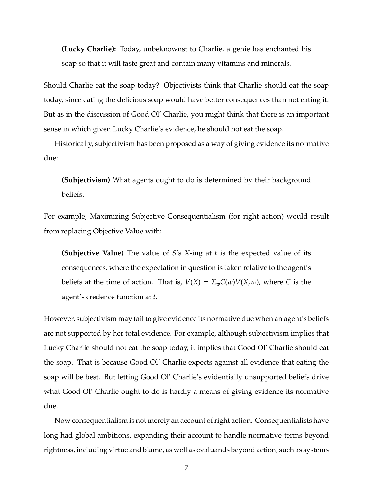**(Lucky Charlie):** Today, unbeknownst to Charlie, a genie has enchanted his soap so that it will taste great and contain many vitamins and minerals.

Should Charlie eat the soap today? Objectivists think that Charlie should eat the soap today, since eating the delicious soap would have better consequences than not eating it. But as in the discussion of Good Ol' Charlie, you might think that there is an important sense in which given Lucky Charlie's evidence, he should not eat the soap.

Historically, subjectivism has been proposed as a way of giving evidence its normative due:

**(Subjectivism)** What agents ought to do is determined by their background beliefs.

For example, Maximizing Subjective Consequentialism (for right action) would result from replacing Objective Value with:

**(Subjective Value)** The value of *S*'s *X*-ing at *t* is the expected value of its consequences, where the expectation in question is taken relative to the agent's beliefs at the time of action. That is,  $V(X) = \sum_{w} C(w) V(X, w)$ , where *C* is the agent's credence function at *t*.

However, subjectivism may fail to give evidence its normative due when an agent's beliefs are not supported by her total evidence. For example, although subjectivism implies that Lucky Charlie should not eat the soap today, it implies that Good Ol' Charlie should eat the soap. That is because Good Ol' Charlie expects against all evidence that eating the soap will be best. But letting Good Ol' Charlie's evidentially unsupported beliefs drive what Good Ol' Charlie ought to do is hardly a means of giving evidence its normative due.

Now consequentialism is not merely an account of right action. Consequentialists have long had global ambitions, expanding their account to handle normative terms beyond rightness, including virtue and blame, as well as evaluands beyond action, such as systems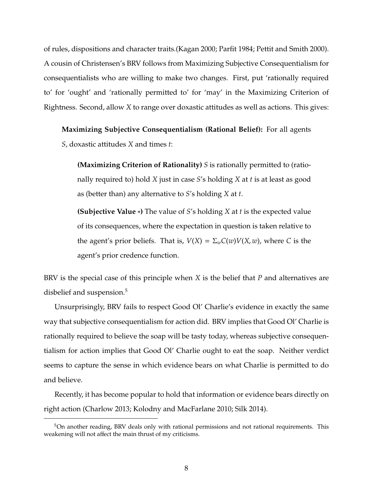of rules, dispositions and character traits.(Kagan 2000; Parfit 1984; Pettit and Smith 2000). A cousin of Christensen's BRV follows from Maximizing Subjective Consequentialism for consequentialists who are willing to make two changes. First, put 'rationally required to' for 'ought' and 'rationally permitted to' for 'may' in the Maximizing Criterion of Rightness. Second, allow *X* to range over doxastic attitudes as well as actions. This gives:

**Maximizing Subjective Consequentialism (Rational Belief):** For all agents

*S*, doxastic attitudes *X* and times *t*:

**(Maximizing Criterion of Rationality)** *S* is rationally permitted to (rationally required to) hold *X* just in case *S*'s holding *X* at *t* is at least as good as (better than) any alternative to *S*'s holding *X* at *t*.

**(Subjective Value** ∗**)** The value of *S*'s holding *X* at *t* is the expected value of its consequences, where the expectation in question is taken relative to the agent's prior beliefs. That is,  $V(X) = \sum_{w} C(w) V(X, w)$ , where *C* is the agent's prior credence function.

BRV is the special case of this principle when *X* is the belief that *P* and alternatives are disbelief and suspension.<sup>5</sup>

Unsurprisingly, BRV fails to respect Good Ol' Charlie's evidence in exactly the same way that subjective consequentialism for action did. BRV implies that Good Ol' Charlie is rationally required to believe the soap will be tasty today, whereas subjective consequentialism for action implies that Good Ol' Charlie ought to eat the soap. Neither verdict seems to capture the sense in which evidence bears on what Charlie is permitted to do and believe.

Recently, it has become popular to hold that information or evidence bears directly on right action (Charlow 2013; Kolodny and MacFarlane 2010; Silk 2014).

<sup>&</sup>lt;sup>5</sup>On another reading, BRV deals only with rational permissions and not rational requirements. This weakening will not affect the main thrust of my criticisms.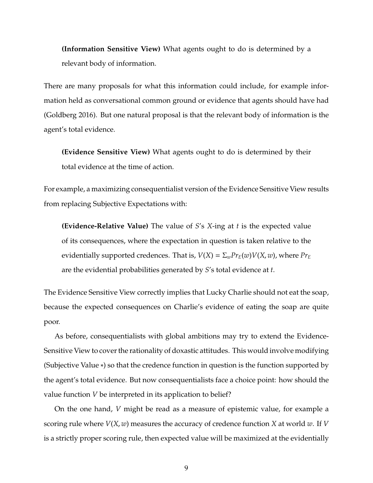**(Information Sensitive View)** What agents ought to do is determined by a relevant body of information.

There are many proposals for what this information could include, for example information held as conversational common ground or evidence that agents should have had (Goldberg 2016). But one natural proposal is that the relevant body of information is the agent's total evidence.

**(Evidence Sensitive View)** What agents ought to do is determined by their total evidence at the time of action.

For example, a maximizing consequentialist version of the Evidence Sensitive View results from replacing Subjective Expectations with:

**(Evidence-Relative Value)** The value of *S*'s *X*-ing at *t* is the expected value of its consequences, where the expectation in question is taken relative to the evidentially supported credences. That is,  $V(X) = \sum_{w} Pr_E(w) V(X, w)$ , where  $Pr_E$ are the evidential probabilities generated by *S*'s total evidence at *t*.

The Evidence Sensitive View correctly implies that Lucky Charlie should not eat the soap, because the expected consequences on Charlie's evidence of eating the soap are quite poor.

As before, consequentialists with global ambitions may try to extend the Evidence-Sensitive View to cover the rationality of doxastic attitudes. This would involve modifying (Subjective Value ∗) so that the credence function in question is the function supported by the agent's total evidence. But now consequentialists face a choice point: how should the value function *V* be interpreted in its application to belief?

On the one hand, *V* might be read as a measure of epistemic value, for example a scoring rule where *V*(*X*, *w*) measures the accuracy of credence function *X* at world *w*. If *V* is a strictly proper scoring rule, then expected value will be maximized at the evidentially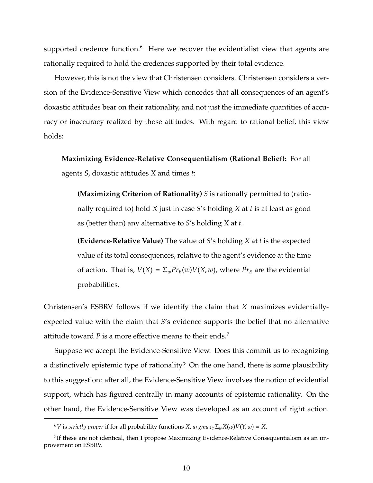supported credence function.<sup>6</sup> Here we recover the evidentialist view that agents are rationally required to hold the credences supported by their total evidence.

However, this is not the view that Christensen considers. Christensen considers a version of the Evidence-Sensitive View which concedes that all consequences of an agent's doxastic attitudes bear on their rationality, and not just the immediate quantities of accuracy or inaccuracy realized by those attitudes. With regard to rational belief, this view holds:

**Maximizing Evidence-Relative Consequentialism (Rational Belief):** For all agents *S*, doxastic attitudes *X* and times *t*:

**(Maximizing Criterion of Rationality)** *S* is rationally permitted to (rationally required to) hold *X* just in case *S*'s holding *X* at *t* is at least as good as (better than) any alternative to *S*'s holding *X* at *t*.

**(Evidence-Relative Value)** The value of *S*'s holding *X* at *t* is the expected value of its total consequences, relative to the agent's evidence at the time of action. That is,  $V(X) = \sum_{w} Pr_E(w) V(X, w)$ , where  $Pr_E$  are the evidential probabilities.

Christensen's ESBRV follows if we identify the claim that *X* maximizes evidentiallyexpected value with the claim that *S*'s evidence supports the belief that no alternative attitude toward *P* is a more effective means to their ends.<sup>7</sup>

Suppose we accept the Evidence-Sensitive View. Does this commit us to recognizing a distinctively epistemic type of rationality? On the one hand, there is some plausibility to this suggestion: after all, the Evidence-Sensitive View involves the notion of evidential support, which has figured centrally in many accounts of epistemic rationality. On the other hand, the Evidence-Sensitive View was developed as an account of right action.

<sup>6</sup>*V* is *strictly proper* if for all probability functions *X*, *argmaxY*Σ*wX*(*w*)*V*(*Y*, *w*) = *X*.

 $7$ If these are not identical, then I propose Maximizing Evidence-Relative Consequentialism as an improvement on ESBRV.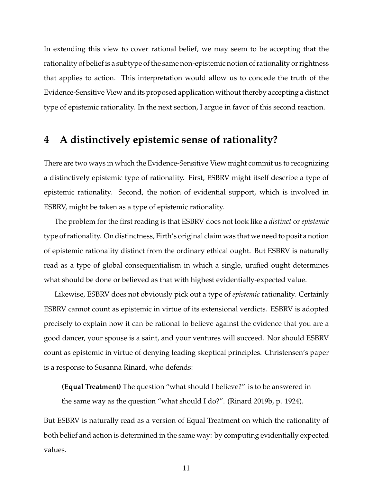In extending this view to cover rational belief, we may seem to be accepting that the rationality of belief is a subtype of the same non-epistemic notion of rationality or rightness that applies to action. This interpretation would allow us to concede the truth of the Evidence-Sensitive View and its proposed application without thereby accepting a distinct type of epistemic rationality. In the next section, I argue in favor of this second reaction.

# **4 A distinctively epistemic sense of rationality?**

There are two ways in which the Evidence-Sensitive View might commit us to recognizing a distinctively epistemic type of rationality. First, ESBRV might itself describe a type of epistemic rationality. Second, the notion of evidential support, which is involved in ESBRV, might be taken as a type of epistemic rationality.

The problem for the first reading is that ESBRV does not look like a *distinct* or *epistemic* type of rationality. On distinctness, Firth's original claim was that we need to posit a notion of epistemic rationality distinct from the ordinary ethical ought. But ESBRV is naturally read as a type of global consequentialism in which a single, unified ought determines what should be done or believed as that with highest evidentially-expected value.

Likewise, ESBRV does not obviously pick out a type of *epistemic* rationality. Certainly ESBRV cannot count as epistemic in virtue of its extensional verdicts. ESBRV is adopted precisely to explain how it can be rational to believe against the evidence that you are a good dancer, your spouse is a saint, and your ventures will succeed. Nor should ESBRV count as epistemic in virtue of denying leading skeptical principles. Christensen's paper is a response to Susanna Rinard, who defends:

**(Equal Treatment)** The question "what should I believe?" is to be answered in

the same way as the question "what should I do?". (Rinard 2019b, p. 1924).

But ESBRV is naturally read as a version of Equal Treatment on which the rationality of both belief and action is determined in the same way: by computing evidentially expected values.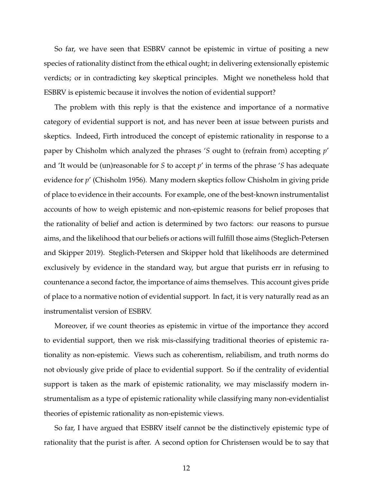So far, we have seen that ESBRV cannot be epistemic in virtue of positing a new species of rationality distinct from the ethical ought; in delivering extensionally epistemic verdicts; or in contradicting key skeptical principles. Might we nonetheless hold that ESBRV is epistemic because it involves the notion of evidential support?

The problem with this reply is that the existence and importance of a normative category of evidential support is not, and has never been at issue between purists and skeptics. Indeed, Firth introduced the concept of epistemic rationality in response to a paper by Chisholm which analyzed the phrases '*S* ought to (refrain from) accepting *p*' and 'It would be (un)reasonable for *S* to accept *p*' in terms of the phrase '*S* has adequate evidence for *p*' (Chisholm 1956). Many modern skeptics follow Chisholm in giving pride of place to evidence in their accounts. For example, one of the best-known instrumentalist accounts of how to weigh epistemic and non-epistemic reasons for belief proposes that the rationality of belief and action is determined by two factors: our reasons to pursue aims, and the likelihood that our beliefs or actions will fulfill those aims (Steglich-Petersen and Skipper 2019). Steglich-Petersen and Skipper hold that likelihoods are determined exclusively by evidence in the standard way, but argue that purists err in refusing to countenance a second factor, the importance of aims themselves. This account gives pride of place to a normative notion of evidential support. In fact, it is very naturally read as an instrumentalist version of ESBRV.

Moreover, if we count theories as epistemic in virtue of the importance they accord to evidential support, then we risk mis-classifying traditional theories of epistemic rationality as non-epistemic. Views such as coherentism, reliabilism, and truth norms do not obviously give pride of place to evidential support. So if the centrality of evidential support is taken as the mark of epistemic rationality, we may misclassify modern instrumentalism as a type of epistemic rationality while classifying many non-evidentialist theories of epistemic rationality as non-epistemic views.

So far, I have argued that ESBRV itself cannot be the distinctively epistemic type of rationality that the purist is after. A second option for Christensen would be to say that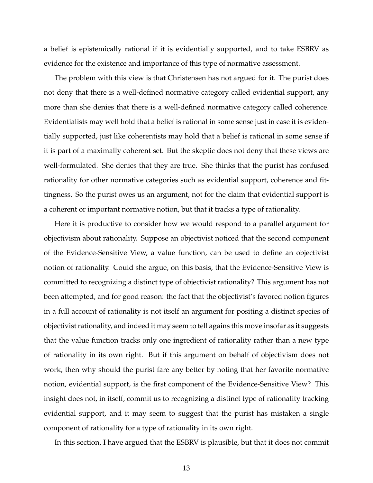a belief is epistemically rational if it is evidentially supported, and to take ESBRV as evidence for the existence and importance of this type of normative assessment.

The problem with this view is that Christensen has not argued for it. The purist does not deny that there is a well-defined normative category called evidential support, any more than she denies that there is a well-defined normative category called coherence. Evidentialists may well hold that a belief is rational in some sense just in case it is evidentially supported, just like coherentists may hold that a belief is rational in some sense if it is part of a maximally coherent set. But the skeptic does not deny that these views are well-formulated. She denies that they are true. She thinks that the purist has confused rationality for other normative categories such as evidential support, coherence and fittingness. So the purist owes us an argument, not for the claim that evidential support is a coherent or important normative notion, but that it tracks a type of rationality.

Here it is productive to consider how we would respond to a parallel argument for objectivism about rationality. Suppose an objectivist noticed that the second component of the Evidence-Sensitive View, a value function, can be used to define an objectivist notion of rationality. Could she argue, on this basis, that the Evidence-Sensitive View is committed to recognizing a distinct type of objectivist rationality? This argument has not been attempted, and for good reason: the fact that the objectivist's favored notion figures in a full account of rationality is not itself an argument for positing a distinct species of objectivist rationality, and indeed it may seem to tell agains this move insofar as it suggests that the value function tracks only one ingredient of rationality rather than a new type of rationality in its own right. But if this argument on behalf of objectivism does not work, then why should the purist fare any better by noting that her favorite normative notion, evidential support, is the first component of the Evidence-Sensitive View? This insight does not, in itself, commit us to recognizing a distinct type of rationality tracking evidential support, and it may seem to suggest that the purist has mistaken a single component of rationality for a type of rationality in its own right.

In this section, I have argued that the ESBRV is plausible, but that it does not commit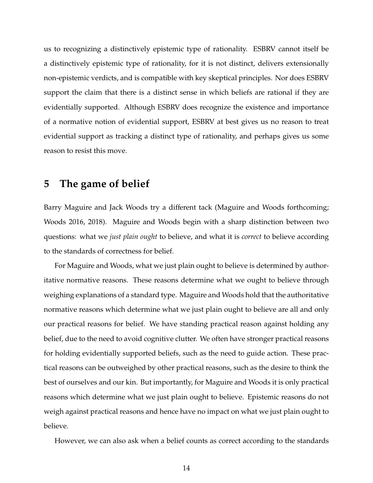us to recognizing a distinctively epistemic type of rationality. ESBRV cannot itself be a distinctively epistemic type of rationality, for it is not distinct, delivers extensionally non-epistemic verdicts, and is compatible with key skeptical principles. Nor does ESBRV support the claim that there is a distinct sense in which beliefs are rational if they are evidentially supported. Although ESBRV does recognize the existence and importance of a normative notion of evidential support, ESBRV at best gives us no reason to treat evidential support as tracking a distinct type of rationality, and perhaps gives us some reason to resist this move.

#### **5 The game of belief**

Barry Maguire and Jack Woods try a different tack (Maguire and Woods forthcoming; Woods 2016, 2018). Maguire and Woods begin with a sharp distinction between two questions: what we *just plain ought* to believe, and what it is *correct* to believe according to the standards of correctness for belief.

For Maguire and Woods, what we just plain ought to believe is determined by authoritative normative reasons. These reasons determine what we ought to believe through weighing explanations of a standard type. Maguire and Woods hold that the authoritative normative reasons which determine what we just plain ought to believe are all and only our practical reasons for belief. We have standing practical reason against holding any belief, due to the need to avoid cognitive clutter. We often have stronger practical reasons for holding evidentially supported beliefs, such as the need to guide action. These practical reasons can be outweighed by other practical reasons, such as the desire to think the best of ourselves and our kin. But importantly, for Maguire and Woods it is only practical reasons which determine what we just plain ought to believe. Epistemic reasons do not weigh against practical reasons and hence have no impact on what we just plain ought to believe.

However, we can also ask when a belief counts as correct according to the standards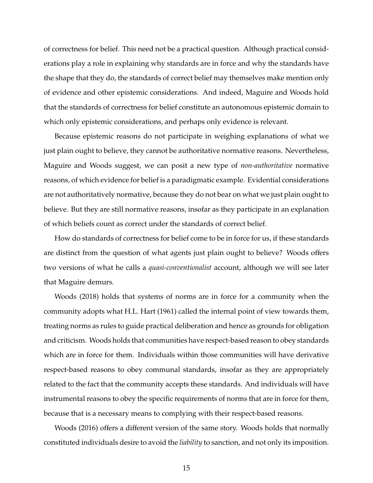of correctness for belief. This need not be a practical question. Although practical considerations play a role in explaining why standards are in force and why the standards have the shape that they do, the standards of correct belief may themselves make mention only of evidence and other epistemic considerations. And indeed, Maguire and Woods hold that the standards of correctness for belief constitute an autonomous epistemic domain to which only epistemic considerations, and perhaps only evidence is relevant.

Because epistemic reasons do not participate in weighing explanations of what we just plain ought to believe, they cannot be authoritative normative reasons. Nevertheless, Maguire and Woods suggest, we can posit a new type of *non-authoritative* normative reasons, of which evidence for belief is a paradigmatic example. Evidential considerations are not authoritatively normative, because they do not bear on what we just plain ought to believe. But they are still normative reasons, insofar as they participate in an explanation of which beliefs count as correct under the standards of correct belief.

How do standards of correctness for belief come to be in force for us, if these standards are distinct from the question of what agents just plain ought to believe? Woods offers two versions of what he calls a *quasi-conventionalist* account, although we will see later that Maguire demurs.

Woods (2018) holds that systems of norms are in force for a community when the community adopts what H.L. Hart (1961) called the internal point of view towards them, treating norms as rules to guide practical deliberation and hence as grounds for obligation and criticism. Woods holds that communities have respect-based reason to obey standards which are in force for them. Individuals within those communities will have derivative respect-based reasons to obey communal standards, insofar as they are appropriately related to the fact that the community accepts these standards. And individuals will have instrumental reasons to obey the specific requirements of norms that are in force for them, because that is a necessary means to complying with their respect-based reasons.

Woods (2016) offers a different version of the same story. Woods holds that normally constituted individuals desire to avoid the *liability* to sanction, and not only its imposition.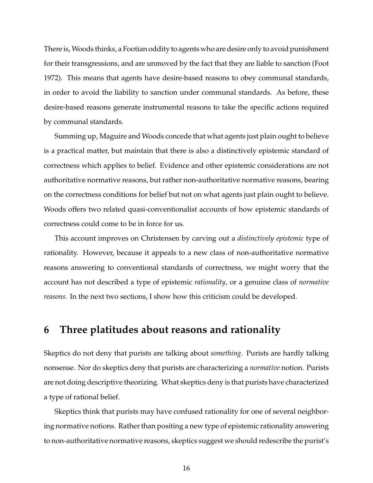There is, Woods thinks, a Footian oddity to agents who are desire only to avoid punishment for their transgressions, and are unmoved by the fact that they are liable to sanction (Foot 1972). This means that agents have desire-based reasons to obey communal standards, in order to avoid the liability to sanction under communal standards. As before, these desire-based reasons generate instrumental reasons to take the specific actions required by communal standards.

Summing up, Maguire and Woods concede that what agents just plain ought to believe is a practical matter, but maintain that there is also a distinctively epistemic standard of correctness which applies to belief. Evidence and other epistemic considerations are not authoritative normative reasons, but rather non-authoritative normative reasons, bearing on the correctness conditions for belief but not on what agents just plain ought to believe. Woods offers two related quasi-conventionalist accounts of how epistemic standards of correctness could come to be in force for us.

This account improves on Christensen by carving out a *distinctively epistemic* type of rationality. However, because it appeals to a new class of non-authoritative normative reasons answering to conventional standards of correctness, we might worry that the account has not described a type of epistemic *rationality*, or a genuine class of *normative reasons*. In the next two sections, I show how this criticism could be developed.

#### **6 Three platitudes about reasons and rationality**

Skeptics do not deny that purists are talking about *something*. Purists are hardly talking nonsense. Nor do skeptics deny that purists are characterizing a *normative* notion. Purists are not doing descriptive theorizing. What skeptics deny is that purists have characterized a type of rational belief.

Skeptics think that purists may have confused rationality for one of several neighboring normative notions. Rather than positing a new type of epistemic rationality answering to non-authoritative normative reasons, skeptics suggest we should redescribe the purist's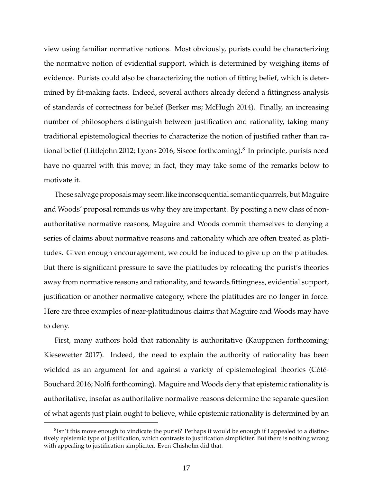view using familiar normative notions. Most obviously, purists could be characterizing the normative notion of evidential support, which is determined by weighing items of evidence. Purists could also be characterizing the notion of fitting belief, which is determined by fit-making facts. Indeed, several authors already defend a fittingness analysis of standards of correctness for belief (Berker ms; McHugh 2014). Finally, an increasing number of philosophers distinguish between justification and rationality, taking many traditional epistemological theories to characterize the notion of justified rather than rational belief (Littlejohn 2012; Lyons 2016; Siscoe forthcoming).<sup>8</sup> In principle, purists need have no quarrel with this move; in fact, they may take some of the remarks below to motivate it.

These salvage proposals may seem like inconsequential semantic quarrels, but Maguire and Woods' proposal reminds us why they are important. By positing a new class of nonauthoritative normative reasons, Maguire and Woods commit themselves to denying a series of claims about normative reasons and rationality which are often treated as platitudes. Given enough encouragement, we could be induced to give up on the platitudes. But there is significant pressure to save the platitudes by relocating the purist's theories away from normative reasons and rationality, and towards fittingness, evidential support, justification or another normative category, where the platitudes are no longer in force. Here are three examples of near-platitudinous claims that Maguire and Woods may have to deny.

First, many authors hold that rationality is authoritative (Kauppinen forthcoming; Kiesewetter 2017). Indeed, the need to explain the authority of rationality has been wielded as an argument for and against a variety of epistemological theories (Côté-Bouchard 2016; Nolfi forthcoming). Maguire and Woods deny that epistemic rationality is authoritative, insofar as authoritative normative reasons determine the separate question of what agents just plain ought to believe, while epistemic rationality is determined by an

 ${}^{8}$ Isn't this move enough to vindicate the purist? Perhaps it would be enough if I appealed to a distinctively epistemic type of justification, which contrasts to justification simpliciter. But there is nothing wrong with appealing to justification simpliciter. Even Chisholm did that.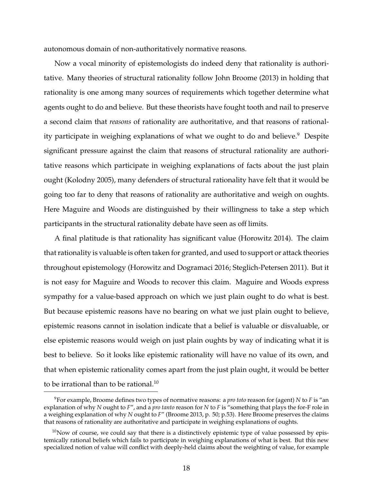autonomous domain of non-authoritatively normative reasons.

Now a vocal minority of epistemologists do indeed deny that rationality is authoritative. Many theories of structural rationality follow John Broome (2013) in holding that rationality is one among many sources of requirements which together determine what agents ought to do and believe. But these theorists have fought tooth and nail to preserve a second claim that *reasons* of rationality are authoritative, and that reasons of rationality participate in weighing explanations of what we ought to do and believe.<sup>9</sup> Despite significant pressure against the claim that reasons of structural rationality are authoritative reasons which participate in weighing explanations of facts about the just plain ought (Kolodny 2005), many defenders of structural rationality have felt that it would be going too far to deny that reasons of rationality are authoritative and weigh on oughts. Here Maguire and Woods are distinguished by their willingness to take a step which participants in the structural rationality debate have seen as off limits.

A final platitude is that rationality has significant value (Horowitz 2014). The claim that rationality is valuable is often taken for granted, and used to support or attack theories throughout epistemology (Horowitz and Dogramaci 2016; Steglich-Petersen 2011). But it is not easy for Maguire and Woods to recover this claim. Maguire and Woods express sympathy for a value-based approach on which we just plain ought to do what is best. But because epistemic reasons have no bearing on what we just plain ought to believe, epistemic reasons cannot in isolation indicate that a belief is valuable or disvaluable, or else epistemic reasons would weigh on just plain oughts by way of indicating what it is best to believe. So it looks like epistemic rationality will have no value of its own, and that when epistemic rationality comes apart from the just plain ought, it would be better to be irrational than to be rational.<sup>10</sup>

<sup>9</sup>For example, Broome defines two types of normative reasons: a *pro toto* reason for (agent) *N* to *F* is "an explanation of why *N* ought to *F*", and a *pro tanto* reason for *N* to *F* is "something that plays the for-F role in a weighing explanation of why *N* ought to *F*" (Broome 2013, p. 50; p.53). Here Broome preserves the claims that reasons of rationality are authoritative and participate in weighing explanations of oughts.

 $10$ Now of course, we could say that there is a distinctively epistemic type of value possessed by epistemically rational beliefs which fails to participate in weighing explanations of what is best. But this new specialized notion of value will conflict with deeply-held claims about the weighting of value, for example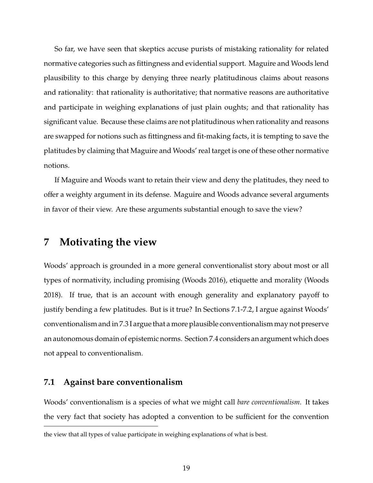So far, we have seen that skeptics accuse purists of mistaking rationality for related normative categories such as fittingness and evidential support. Maguire and Woods lend plausibility to this charge by denying three nearly platitudinous claims about reasons and rationality: that rationality is authoritative; that normative reasons are authoritative and participate in weighing explanations of just plain oughts; and that rationality has significant value. Because these claims are not platitudinous when rationality and reasons are swapped for notions such as fittingness and fit-making facts, it is tempting to save the platitudes by claiming that Maguire and Woods' real target is one of these other normative notions.

If Maguire and Woods want to retain their view and deny the platitudes, they need to offer a weighty argument in its defense. Maguire and Woods advance several arguments in favor of their view. Are these arguments substantial enough to save the view?

# **7 Motivating the view**

Woods' approach is grounded in a more general conventionalist story about most or all types of normativity, including promising (Woods 2016), etiquette and morality (Woods 2018). If true, that is an account with enough generality and explanatory payoff to justify bending a few platitudes. But is it true? In Sections 7.1-7.2, I argue against Woods' conventionalism and in 7.3 I argue that a more plausible conventionalism may not preserve an autonomous domain of epistemic norms. Section 7.4 considers an argument which does not appeal to conventionalism.

#### **7.1 Against bare conventionalism**

Woods' conventionalism is a species of what we might call *bare conventionalism*. It takes the very fact that society has adopted a convention to be sufficient for the convention

the view that all types of value participate in weighing explanations of what is best.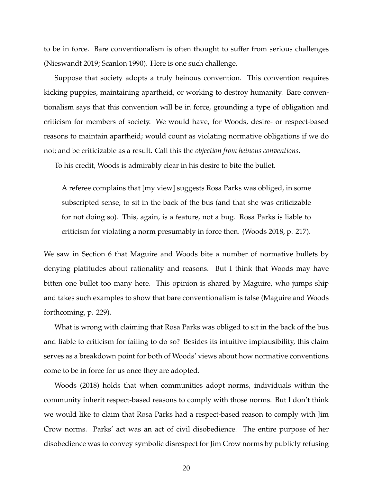to be in force. Bare conventionalism is often thought to suffer from serious challenges (Nieswandt 2019; Scanlon 1990). Here is one such challenge.

Suppose that society adopts a truly heinous convention. This convention requires kicking puppies, maintaining apartheid, or working to destroy humanity. Bare conventionalism says that this convention will be in force, grounding a type of obligation and criticism for members of society. We would have, for Woods, desire- or respect-based reasons to maintain apartheid; would count as violating normative obligations if we do not; and be criticizable as a result. Call this the *objection from heinous conventions*.

To his credit, Woods is admirably clear in his desire to bite the bullet.

A referee complains that [my view] suggests Rosa Parks was obliged, in some subscripted sense, to sit in the back of the bus (and that she was criticizable for not doing so). This, again, is a feature, not a bug. Rosa Parks is liable to criticism for violating a norm presumably in force then. (Woods 2018, p. 217).

We saw in Section 6 that Maguire and Woods bite a number of normative bullets by denying platitudes about rationality and reasons. But I think that Woods may have bitten one bullet too many here. This opinion is shared by Maguire, who jumps ship and takes such examples to show that bare conventionalism is false (Maguire and Woods forthcoming, p. 229).

What is wrong with claiming that Rosa Parks was obliged to sit in the back of the bus and liable to criticism for failing to do so? Besides its intuitive implausibility, this claim serves as a breakdown point for both of Woods' views about how normative conventions come to be in force for us once they are adopted.

Woods (2018) holds that when communities adopt norms, individuals within the community inherit respect-based reasons to comply with those norms. But I don't think we would like to claim that Rosa Parks had a respect-based reason to comply with Jim Crow norms. Parks' act was an act of civil disobedience. The entire purpose of her disobedience was to convey symbolic disrespect for Jim Crow norms by publicly refusing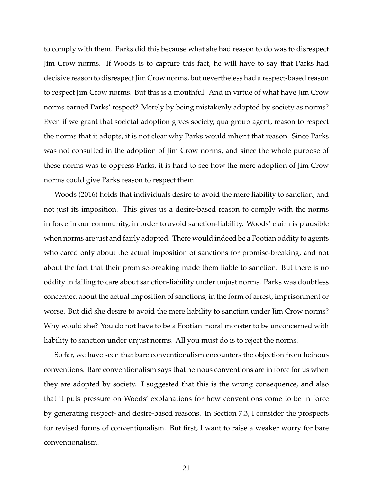to comply with them. Parks did this because what she had reason to do was to disrespect Jim Crow norms. If Woods is to capture this fact, he will have to say that Parks had decisive reason to disrespect Jim Crow norms, but nevertheless had a respect-based reason to respect Jim Crow norms. But this is a mouthful. And in virtue of what have Jim Crow norms earned Parks' respect? Merely by being mistakenly adopted by society as norms? Even if we grant that societal adoption gives society, qua group agent, reason to respect the norms that it adopts, it is not clear why Parks would inherit that reason. Since Parks was not consulted in the adoption of Jim Crow norms, and since the whole purpose of these norms was to oppress Parks, it is hard to see how the mere adoption of Jim Crow norms could give Parks reason to respect them.

Woods (2016) holds that individuals desire to avoid the mere liability to sanction, and not just its imposition. This gives us a desire-based reason to comply with the norms in force in our community, in order to avoid sanction-liability. Woods' claim is plausible when norms are just and fairly adopted. There would indeed be a Footian oddity to agents who cared only about the actual imposition of sanctions for promise-breaking, and not about the fact that their promise-breaking made them liable to sanction. But there is no oddity in failing to care about sanction-liability under unjust norms. Parks was doubtless concerned about the actual imposition of sanctions, in the form of arrest, imprisonment or worse. But did she desire to avoid the mere liability to sanction under Jim Crow norms? Why would she? You do not have to be a Footian moral monster to be unconcerned with liability to sanction under unjust norms. All you must do is to reject the norms.

So far, we have seen that bare conventionalism encounters the objection from heinous conventions. Bare conventionalism says that heinous conventions are in force for us when they are adopted by society. I suggested that this is the wrong consequence, and also that it puts pressure on Woods' explanations for how conventions come to be in force by generating respect- and desire-based reasons. In Section 7.3, I consider the prospects for revised forms of conventionalism. But first, I want to raise a weaker worry for bare conventionalism.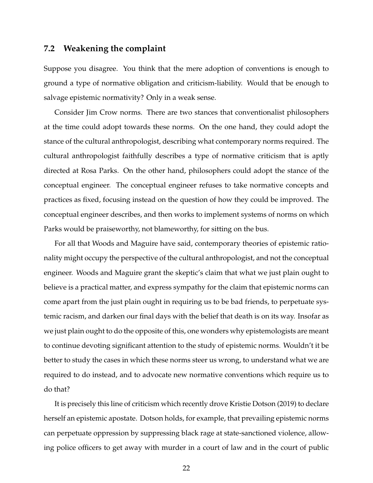#### **7.2 Weakening the complaint**

Suppose you disagree. You think that the mere adoption of conventions is enough to ground a type of normative obligation and criticism-liability. Would that be enough to salvage epistemic normativity? Only in a weak sense.

Consider Jim Crow norms. There are two stances that conventionalist philosophers at the time could adopt towards these norms. On the one hand, they could adopt the stance of the cultural anthropologist, describing what contemporary norms required. The cultural anthropologist faithfully describes a type of normative criticism that is aptly directed at Rosa Parks. On the other hand, philosophers could adopt the stance of the conceptual engineer. The conceptual engineer refuses to take normative concepts and practices as fixed, focusing instead on the question of how they could be improved. The conceptual engineer describes, and then works to implement systems of norms on which Parks would be praiseworthy, not blameworthy, for sitting on the bus.

For all that Woods and Maguire have said, contemporary theories of epistemic rationality might occupy the perspective of the cultural anthropologist, and not the conceptual engineer. Woods and Maguire grant the skeptic's claim that what we just plain ought to believe is a practical matter, and express sympathy for the claim that epistemic norms can come apart from the just plain ought in requiring us to be bad friends, to perpetuate systemic racism, and darken our final days with the belief that death is on its way. Insofar as we just plain ought to do the opposite of this, one wonders why epistemologists are meant to continue devoting significant attention to the study of epistemic norms. Wouldn't it be better to study the cases in which these norms steer us wrong, to understand what we are required to do instead, and to advocate new normative conventions which require us to do that?

It is precisely this line of criticism which recently drove Kristie Dotson (2019) to declare herself an epistemic apostate. Dotson holds, for example, that prevailing epistemic norms can perpetuate oppression by suppressing black rage at state-sanctioned violence, allowing police officers to get away with murder in a court of law and in the court of public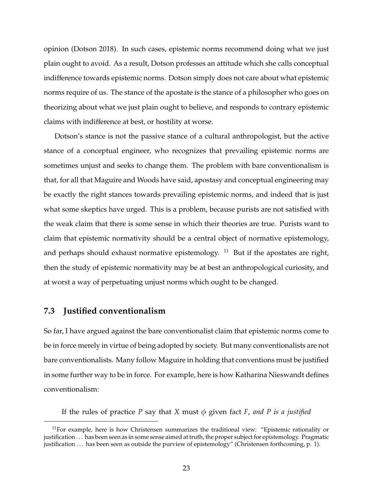opinion (Dotson 2018). In such cases, epistemic norms recommend doing what we just plain ought to avoid. As a result, Dotson professes an attitude which she calls conceptual indifference towards epistemic norms. Dotson simply does not care about what epistemic norms require of us. The stance of the apostate is the stance of a philosopher who goes on theorizing about what we just plain ought to believe, and responds to contrary epistemic claims with indifference at best, or hostility at worse.

Dotson's stance is not the passive stance of a cultural anthropologist, but the active stance of a conceptual engineer, who recognizes that prevailing epistemic norms are sometimes unjust and seeks to change them. The problem with bare conventionalism is that, for all that Maguire and Woods have said, apostasy and conceptual engineering may be exactly the right stances towards prevailing epistemic norms, and indeed that is just what some skeptics have urged. This is a problem, because purists are not satisfied with the weak claim that there is some sense in which their theories are true. Purists want to claim that epistemic normativity should be a central object of normative epistemology, and perhaps should exhaust normative epistemology.  $11$  But if the apostates are right, then the study of epistemic normativity may be at best an anthropological curiosity, and at worst a way of perpetuating unjust norms which ought to be changed.

#### **7.3 Justified conventionalism**

So far, I have argued against the bare conventionalist claim that epistemic norms come to be in force merely in virtue of being adopted by society. But many conventionalists are not bare conventionalists. Many follow Maguire in holding that conventions must be justified in some further way to be in force. For example, here is how Katharina Nieswandt defines conventionalism:

If the rules of practice *P* say that *X* must  $\phi$  given fact *F*, and *P* is a justified

 $11$ For example, here is how Christensen summarizes the traditional view: "Epistemic rationality or justification . . . has been seen as in some sense aimed at truth, the proper subject for epistemology. Pragmatic justification ... has been seen as outside the purview of epistemology" (Christensen forthcoming, p. 1).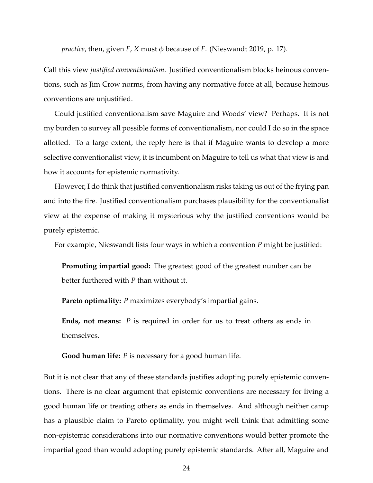*practice*, then, given *F*, *X* must  $\phi$  because of *F*. (Nieswandt 2019, p. 17).

Call this view *justified conventionalism*. Justified conventionalism blocks heinous conventions, such as Jim Crow norms, from having any normative force at all, because heinous conventions are unjustified.

Could justified conventionalism save Maguire and Woods' view? Perhaps. It is not my burden to survey all possible forms of conventionalism, nor could I do so in the space allotted. To a large extent, the reply here is that if Maguire wants to develop a more selective conventionalist view, it is incumbent on Maguire to tell us what that view is and how it accounts for epistemic normativity.

However, I do think that justified conventionalism risks taking us out of the frying pan and into the fire. Justified conventionalism purchases plausibility for the conventionalist view at the expense of making it mysterious why the justified conventions would be purely epistemic.

For example, Nieswandt lists four ways in which a convention *P* might be justified:

**Promoting impartial good:** The greatest good of the greatest number can be better furthered with *P* than without it.

**Pareto optimality:** *P* maximizes everybody's impartial gains.

**Ends, not means:** *P* is required in order for us to treat others as ends in themselves.

**Good human life:** *P* is necessary for a good human life.

But it is not clear that any of these standards justifies adopting purely epistemic conventions. There is no clear argument that epistemic conventions are necessary for living a good human life or treating others as ends in themselves. And although neither camp has a plausible claim to Pareto optimality, you might well think that admitting some non-epistemic considerations into our normative conventions would better promote the impartial good than would adopting purely epistemic standards. After all, Maguire and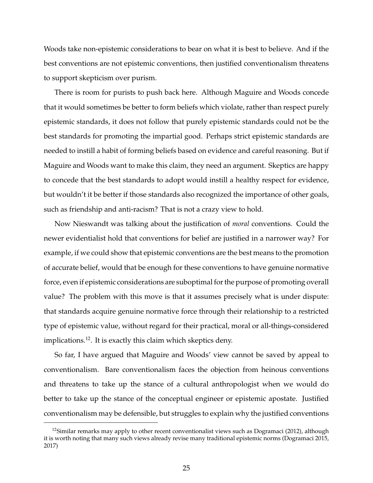Woods take non-epistemic considerations to bear on what it is best to believe. And if the best conventions are not epistemic conventions, then justified conventionalism threatens to support skepticism over purism.

There is room for purists to push back here. Although Maguire and Woods concede that it would sometimes be better to form beliefs which violate, rather than respect purely epistemic standards, it does not follow that purely epistemic standards could not be the best standards for promoting the impartial good. Perhaps strict epistemic standards are needed to instill a habit of forming beliefs based on evidence and careful reasoning. But if Maguire and Woods want to make this claim, they need an argument. Skeptics are happy to concede that the best standards to adopt would instill a healthy respect for evidence, but wouldn't it be better if those standards also recognized the importance of other goals, such as friendship and anti-racism? That is not a crazy view to hold.

Now Nieswandt was talking about the justification of *moral* conventions. Could the newer evidentialist hold that conventions for belief are justified in a narrower way? For example, if we could show that epistemic conventions are the best means to the promotion of accurate belief, would that be enough for these conventions to have genuine normative force, even if epistemic considerations are suboptimal for the purpose of promoting overall value? The problem with this move is that it assumes precisely what is under dispute: that standards acquire genuine normative force through their relationship to a restricted type of epistemic value, without regard for their practical, moral or all-things-considered implications.<sup>12</sup>. It is exactly this claim which skeptics deny.

So far, I have argued that Maguire and Woods' view cannot be saved by appeal to conventionalism. Bare conventionalism faces the objection from heinous conventions and threatens to take up the stance of a cultural anthropologist when we would do better to take up the stance of the conceptual engineer or epistemic apostate. Justified conventionalism may be defensible, but struggles to explain why the justified conventions

<sup>&</sup>lt;sup>12</sup>Similar remarks may apply to other recent conventionalist views such as Dogramaci (2012), although it is worth noting that many such views already revise many traditional epistemic norms (Dogramaci 2015, 2017)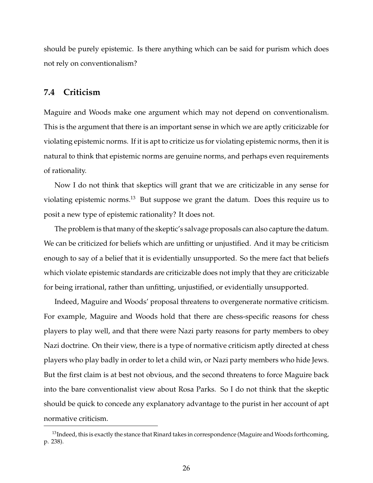should be purely epistemic. Is there anything which can be said for purism which does not rely on conventionalism?

#### **7.4 Criticism**

Maguire and Woods make one argument which may not depend on conventionalism. This is the argument that there is an important sense in which we are aptly criticizable for violating epistemic norms. If it is apt to criticize us for violating epistemic norms, then it is natural to think that epistemic norms are genuine norms, and perhaps even requirements of rationality.

Now I do not think that skeptics will grant that we are criticizable in any sense for violating epistemic norms.<sup>13</sup> But suppose we grant the datum. Does this require us to posit a new type of epistemic rationality? It does not.

The problem is that many of the skeptic's salvage proposals can also capture the datum. We can be criticized for beliefs which are unfitting or unjustified. And it may be criticism enough to say of a belief that it is evidentially unsupported. So the mere fact that beliefs which violate epistemic standards are criticizable does not imply that they are criticizable for being irrational, rather than unfitting, unjustified, or evidentially unsupported.

Indeed, Maguire and Woods' proposal threatens to overgenerate normative criticism. For example, Maguire and Woods hold that there are chess-specific reasons for chess players to play well, and that there were Nazi party reasons for party members to obey Nazi doctrine. On their view, there is a type of normative criticism aptly directed at chess players who play badly in order to let a child win, or Nazi party members who hide Jews. But the first claim is at best not obvious, and the second threatens to force Maguire back into the bare conventionalist view about Rosa Parks. So I do not think that the skeptic should be quick to concede any explanatory advantage to the purist in her account of apt normative criticism.

 $^{13}$ Indeed, this is exactly the stance that Rinard takes in correspondence (Maguire and Woods forthcoming, p. 238).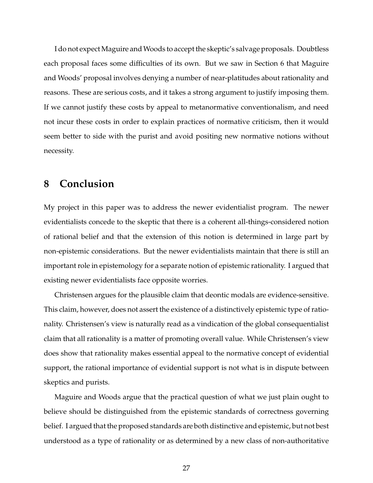I do not expect Maguire and Woods to accept the skeptic's salvage proposals. Doubtless each proposal faces some difficulties of its own. But we saw in Section 6 that Maguire and Woods' proposal involves denying a number of near-platitudes about rationality and reasons. These are serious costs, and it takes a strong argument to justify imposing them. If we cannot justify these costs by appeal to metanormative conventionalism, and need not incur these costs in order to explain practices of normative criticism, then it would seem better to side with the purist and avoid positing new normative notions without necessity.

## **8 Conclusion**

My project in this paper was to address the newer evidentialist program. The newer evidentialists concede to the skeptic that there is a coherent all-things-considered notion of rational belief and that the extension of this notion is determined in large part by non-epistemic considerations. But the newer evidentialists maintain that there is still an important role in epistemology for a separate notion of epistemic rationality. I argued that existing newer evidentialists face opposite worries.

Christensen argues for the plausible claim that deontic modals are evidence-sensitive. This claim, however, does not assert the existence of a distinctively epistemic type of rationality. Christensen's view is naturally read as a vindication of the global consequentialist claim that all rationality is a matter of promoting overall value. While Christensen's view does show that rationality makes essential appeal to the normative concept of evidential support, the rational importance of evidential support is not what is in dispute between skeptics and purists.

Maguire and Woods argue that the practical question of what we just plain ought to believe should be distinguished from the epistemic standards of correctness governing belief. I argued that the proposed standards are both distinctive and epistemic, but not best understood as a type of rationality or as determined by a new class of non-authoritative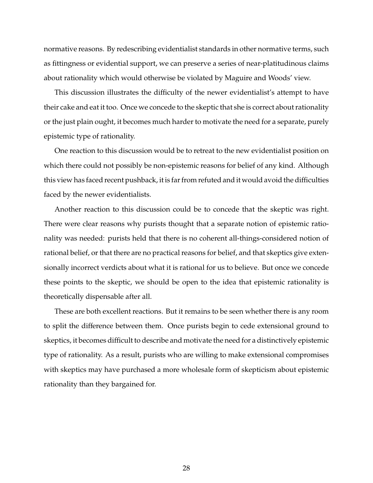normative reasons. By redescribing evidentialist standards in other normative terms, such as fittingness or evidential support, we can preserve a series of near-platitudinous claims about rationality which would otherwise be violated by Maguire and Woods' view.

This discussion illustrates the difficulty of the newer evidentialist's attempt to have their cake and eat it too. Once we concede to the skeptic that she is correct about rationality or the just plain ought, it becomes much harder to motivate the need for a separate, purely epistemic type of rationality.

One reaction to this discussion would be to retreat to the new evidentialist position on which there could not possibly be non-epistemic reasons for belief of any kind. Although this view has faced recent pushback, it is far from refuted and it would avoid the difficulties faced by the newer evidentialists.

Another reaction to this discussion could be to concede that the skeptic was right. There were clear reasons why purists thought that a separate notion of epistemic rationality was needed: purists held that there is no coherent all-things-considered notion of rational belief, or that there are no practical reasons for belief, and that skeptics give extensionally incorrect verdicts about what it is rational for us to believe. But once we concede these points to the skeptic, we should be open to the idea that epistemic rationality is theoretically dispensable after all.

These are both excellent reactions. But it remains to be seen whether there is any room to split the difference between them. Once purists begin to cede extensional ground to skeptics, it becomes difficult to describe and motivate the need for a distinctively epistemic type of rationality. As a result, purists who are willing to make extensional compromises with skeptics may have purchased a more wholesale form of skepticism about epistemic rationality than they bargained for.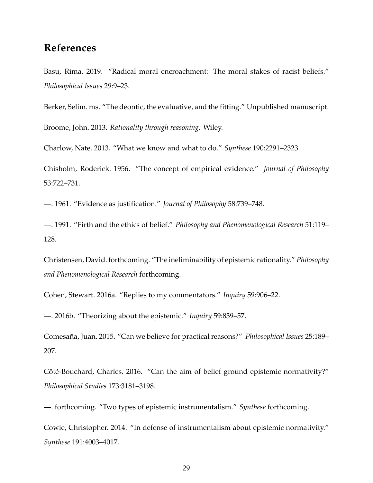# **References**

Basu, Rima. 2019. "Radical moral encroachment: The moral stakes of racist beliefs." *Philosophical Issues* 29:9–23.

Berker, Selim. ms. "The deontic, the evaluative, and the fitting." Unpublished manuscript.

Broome, John. 2013. *Rationality through reasoning*. Wiley.

Charlow, Nate. 2013. "What we know and what to do." *Synthese* 190:2291–2323.

Chisholm, Roderick. 1956. "The concept of empirical evidence." *Journal of Philosophy* 53:722–731.

—. 1961. "Evidence as justification." *Journal of Philosophy* 58:739–748.

—. 1991. "Firth and the ethics of belief." *Philosophy and Phenomenological Research* 51:119– 128.

Christensen, David. forthcoming. "The ineliminability of epistemic rationality." *Philosophy and Phenomenological Research* forthcoming.

Cohen, Stewart. 2016a. "Replies to my commentators." *Inquiry* 59:906–22.

—. 2016b. "Theorizing about the epistemic." *Inquiry* 59:839–57.

Comesana, Juan. 2015. "Can we believe for practical reasons?" ˜ *Philosophical Issues* 25:189– 207.

Côté-Bouchard, Charles. 2016. "Can the aim of belief ground epistemic normativity?" *Philosophical Studies* 173:3181–3198.

—. forthcoming. "Two types of epistemic instrumentalism." *Synthese* forthcoming.

Cowie, Christopher. 2014. "In defense of instrumentalism about epistemic normativity." *Synthese* 191:4003–4017.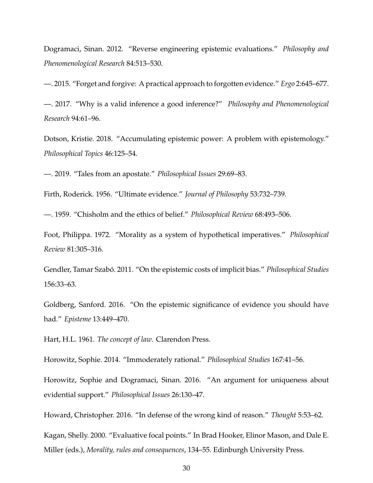Dogramaci, Sinan. 2012. "Reverse engineering epistemic evaluations." *Philosophy and Phenomenological Research* 84:513–530.

—. 2015. "Forget and forgive: A practical approach to forgotten evidence." *Ergo* 2:645–677.

—. 2017. "Why is a valid inference a good inference?" *Philosophy and Phenomenological Research* 94:61–96.

Dotson, Kristie. 2018. "Accumulating epistemic power: A problem with epistemology." *Philosophical Topics* 46:125–54.

—. 2019. "Tales from an apostate." *Philosophical Issues* 29:69–83.

Firth, Roderick. 1956. "Ultimate evidence." *Journal of Philosophy* 53:732–739.

—. 1959. "Chisholm and the ethics of belief." *Philosophical Review* 68:493–506.

Foot, Philippa. 1972. "Morality as a system of hypothetical imperatives." *Philosophical Review* 81:305–316.

Gendler, Tamar Szabó. 2011. "On the epistemic costs of implicit bias." *Philosophical Studies* 156:33–63.

Goldberg, Sanford. 2016. "On the epistemic significance of evidence you should have had." *Episteme* 13:449–470.

Hart, H.L. 1961. *The concept of law*. Clarendon Press.

Horowitz, Sophie. 2014. "Immoderately rational." *Philosophical Studies* 167:41–56.

Horowitz, Sophie and Dogramaci, Sinan. 2016. "An argument for uniqueness about evidential support." *Philosophical Issues* 26:130–47.

Howard, Christopher. 2016. "In defense of the wrong kind of reason." *Thought* 5:53–62.

Kagan, Shelly. 2000. "Evaluative focal points." In Brad Hooker, Elinor Mason, and Dale E. Miller (eds.), *Morality, rules and consequences*, 134–55. Edinburgh University Press.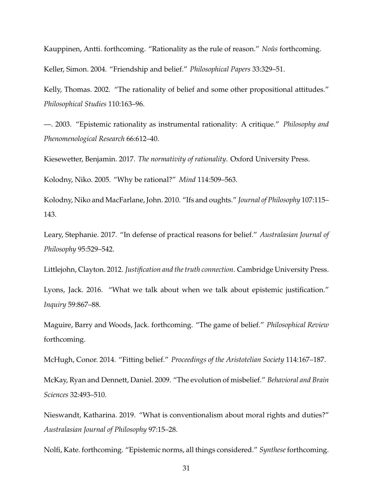Kauppinen, Antti. forthcoming. "Rationality as the rule of reason." *Noûs* forthcoming. Keller, Simon. 2004. "Friendship and belief." *Philosophical Papers* 33:329–51.

Kelly, Thomas. 2002. "The rationality of belief and some other propositional attitudes." *Philosophical Studies* 110:163–96.

—. 2003. "Epistemic rationality as instrumental rationality: A critique." *Philosophy and Phenomenological Research* 66:612–40.

Kiesewetter, Benjamin. 2017. *The normativity of rationality*. Oxford University Press.

Kolodny, Niko. 2005. "Why be rational?" *Mind* 114:509–563.

Kolodny, Niko and MacFarlane, John. 2010. "Ifs and oughts." *Journal of Philosophy* 107:115– 143.

Leary, Stephanie. 2017. "In defense of practical reasons for belief." *Australasian Journal of Philosophy* 95:529–542.

Littlejohn, Clayton. 2012. *Justification and the truth connection*. Cambridge University Press.

Lyons, Jack. 2016. "What we talk about when we talk about epistemic justification." *Inquiry* 59:867–88.

Maguire, Barry and Woods, Jack. forthcoming. "The game of belief." *Philosophical Review* forthcoming.

McHugh, Conor. 2014. "Fitting belief." *Proceedings of the Aristotelian Society* 114:167–187.

McKay, Ryan and Dennett, Daniel. 2009. "The evolution of misbelief." *Behavioral and Brain Sciences* 32:493–510.

Nieswandt, Katharina. 2019. "What is conventionalism about moral rights and duties?" *Australasian Journal of Philosophy* 97:15–28.

Nolfi, Kate. forthcoming. "Epistemic norms, all things considered." *Synthese*forthcoming.

31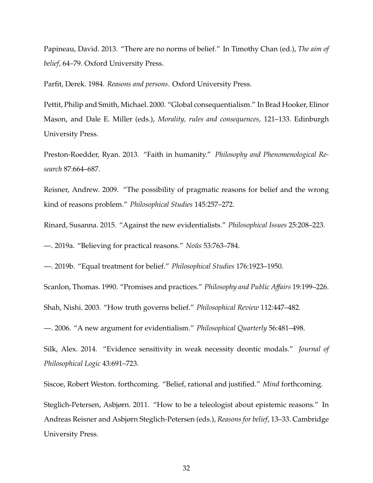Papineau, David. 2013. "There are no norms of belief." In Timothy Chan (ed.), *The aim of belief*, 64–79. Oxford University Press.

Parfit, Derek. 1984. *Reasons and persons*. Oxford University Press.

Pettit, Philip and Smith, Michael. 2000. "Global consequentialism." In Brad Hooker, Elinor Mason, and Dale E. Miller (eds.), *Morality, rules and consequences*, 121–133. Edinburgh University Press.

Preston-Roedder, Ryan. 2013. "Faith in humanity." *Philosophy and Phenomenological Research* 87:664–687.

Reisner, Andrew. 2009. "The possibility of pragmatic reasons for belief and the wrong kind of reasons problem." *Philosophical Studies* 145:257–272.

Rinard, Susanna. 2015. "Against the new evidentialists." *Philosophical Issues* 25:208–223.

—. 2019a. "Believing for practical reasons." *No ˆus* 53:763–784.

—. 2019b. "Equal treatment for belief." *Philosophical Studies* 176:1923–1950.

Scanlon, Thomas. 1990. "Promises and practices." *Philosophy and Public A*ff*airs* 19:199–226.

Shah, Nishi. 2003. "How truth governs belief." *Philosophical Review* 112:447–482.

—. 2006. "A new argument for evidentialism." *Philosophical Quarterly* 56:481–498.

Silk, Alex. 2014. "Evidence sensitivity in weak necessity deontic modals." *Journal of Philosophical Logic* 43:691–723.

Siscoe, Robert Weston. forthcoming. "Belief, rational and justified." *Mind* forthcoming.

Steglich-Petersen, Asbjørn. 2011. "How to be a teleologist about epistemic reasons." In Andreas Reisner and Asbjørn Steglich-Petersen (eds.), *Reasons for belief*, 13–33. Cambridge University Press.